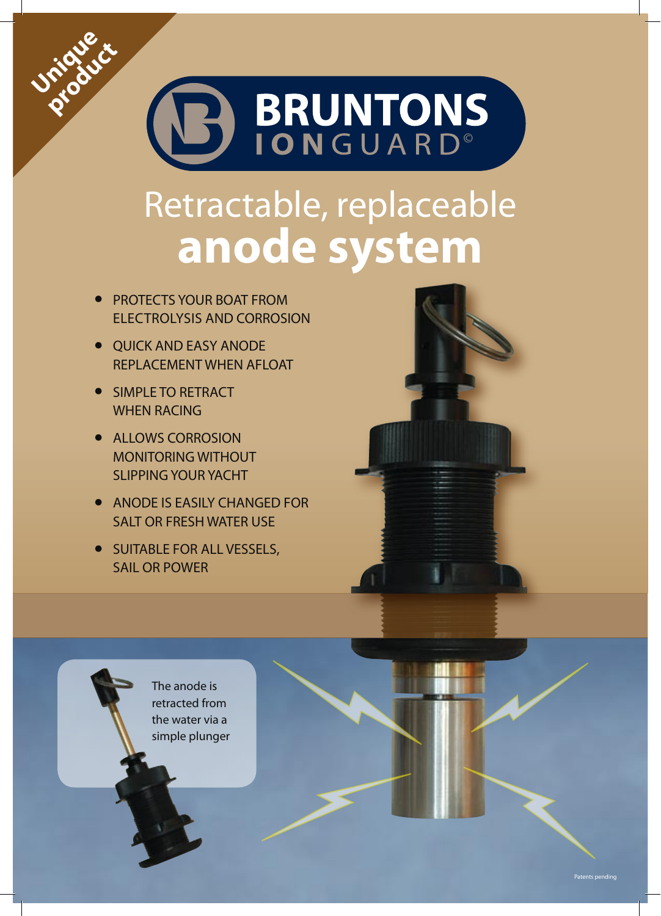

## Retractable, replaceable **anode system**

- **•** PROTECTS YOUR BOAT FROM ELECTROLYSIS AND CORROSION
- **•** QUICK AND EASY ANODE REPLACEMENT WHEN AFLOAT
- **•** SIMPLE TO RETRACT WHEN RACING

**Unique** 

**product** 

- **•** ALLOWS CORROSION MONITORING WITHOUT SLIPPING YOUR YACHT
- **•** ANODE IS EASILY CHANGED FOR SALT OR FRESH WATER USE
- **•** SUITABLE FOR ALL VESSELS, SAIL OR POWER

The anode is retracted from the water via a simple plunger